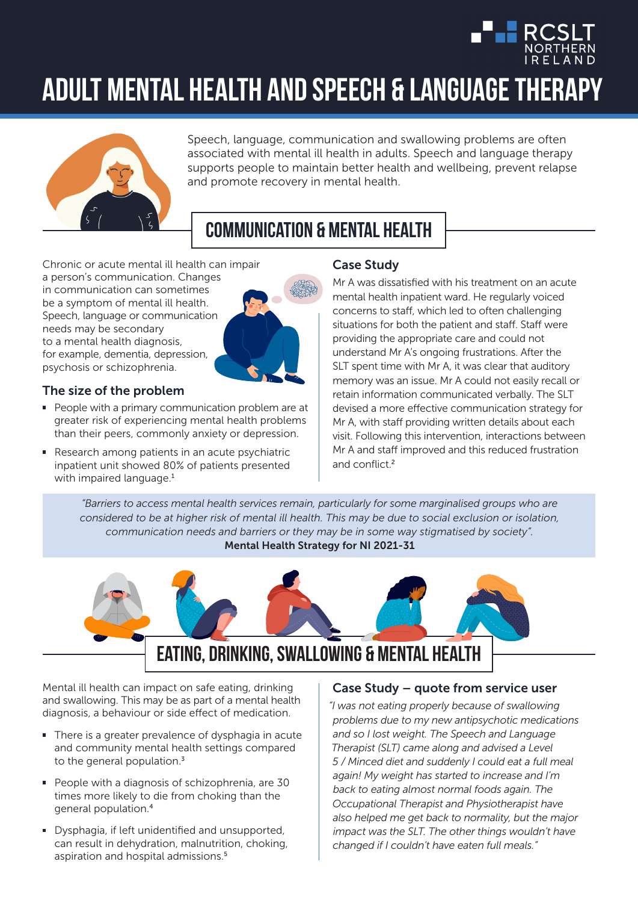

# **Adult mental health and Speech & Language Therapy**



Speech, language, communication and swallowing problems are often associated with mental ill health in adults. Speech and language therapy supports people to maintain better health and wellbeing, prevent relapse and promote recovery in mental health.

## **Communication & mental health**

Chronic or acute mental ill health can impair a person's communication. Changes in communication can sometimes be a symptom of mental ill health. Speech, language or communication needs may be secondary to a mental health diagnosis, for example, dementia, depression, psychosis or schizophrenia.



#### The size of the problem

- People with a primary communication problem are at greater risk of experiencing mental health problems than their peers, commonly anxiety or depression.
- Research among patients in an acute psychiatric inpatient unit showed 80% of patients presented with impaired language.<sup>1</sup>

#### Case Study

Mr A was dissatisfied with his treatment on an acute mental health inpatient ward. He regularly voiced concerns to staff, which led to often challenging situations for both the patient and staff. Staff were providing the appropriate care and could not understand Mr A's ongoing frustrations. After the SLT spent time with Mr A, it was clear that auditory memory was an issue. Mr A could not easily recall or retain information communicated verbally. The SLT devised a more effective communication strategy for Mr A, with staff providing written details about each visit. Following this intervention, interactions between Mr A and staff improved and this reduced frustration and conflict.<sup>2</sup>

*"Barriers to access mental health services remain, particularly for some marginalised groups who are considered to be at higher risk of mental ill health. This may be due to social exclusion or isolation, communication needs and barriers or they may be in some way stigmatised by society".* Mental Health Strategy for NI 2021-31



Mental ill health can impact on safe eating, drinking and swallowing. This may be as part of a mental health diagnosis, a behaviour or side effect of medication.

- There is a greater prevalence of dysphagia in acute and community mental health settings compared to the general population.<sup>3</sup>
- People with a diagnosis of schizophrenia, are 30 times more likely to die from choking than the general population.<sup>4</sup>
- Dysphagia, if left unidentified and unsupported, can result in dehydration, malnutrition, choking, aspiration and hospital admissions.<sup>5</sup>

#### Case Study – quote from service user

*"I was not eating properly because of swallowing problems due to my new antipsychotic medications and so I lost weight. The Speech and Language Therapist (SLT) came along and advised a Level 5 / Minced diet and suddenly I could eat a full meal again! My weight has started to increase and I'm back to eating almost normal foods again. The Occupational Therapist and Physiotherapist have also helped me get back to normality, but the major impact was the SLT. The other things wouldn't have changed if I couldn't have eaten full meals."*